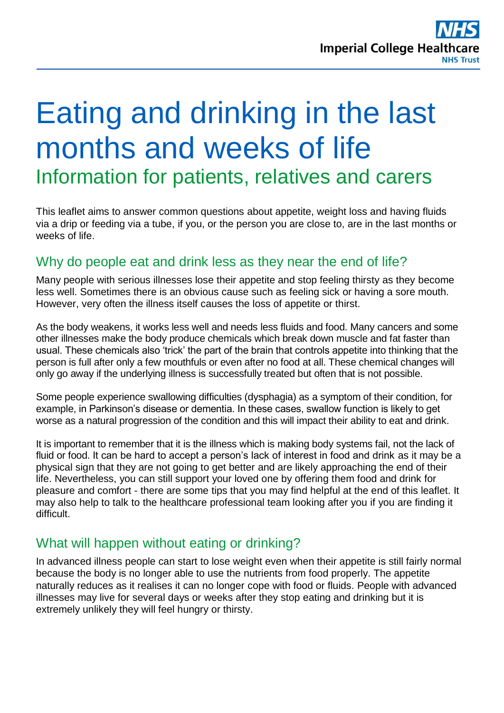# Eating and drinking in the last months and weeks of life Information for patients, relatives and carers

This leaflet aims to answer common questions about appetite, weight loss and having fluids via a drip or feeding via a tube, if you, or the person you are close to, are in the last months or weeks of life.

# Why do people eat and drink less as they near the end of life?

Many people with serious illnesses lose their appetite and stop feeling thirsty as they become less well. Sometimes there is an obvious cause such as feeling sick or having a sore mouth. However, very often the illness itself causes the loss of appetite or thirst.

As the body weakens, it works less well and needs less fluids and food. Many cancers and some other illnesses make the body produce chemicals which break down muscle and fat faster than usual. These chemicals also 'trick' the part of the brain that controls appetite into thinking that the person is full after only a few mouthfuls or even after no food at all. These chemical changes will only go away if the underlying illness is successfully treated but often that is not possible.

Some people experience swallowing difficulties (dysphagia) as a symptom of their condition, for example, in Parkinson's disease or dementia. In these cases, swallow function is likely to get worse as a natural progression of the condition and this will impact their ability to eat and drink.

It is important to remember that it is the illness which is making body systems fail, not the lack of fluid or food. It can be hard to accept a person's lack of interest in food and drink as it may be a physical sign that they are not going to get better and are likely approaching the end of their life. Nevertheless, you can still support your loved one by offering them food and drink for pleasure and comfort - there are some tips that you may find helpful at the end of this leaflet. It may also help to talk to the healthcare professional team looking after you if you are finding it difficult.

# What will happen without eating or drinking?

In advanced illness people can start to lose weight even when their appetite is still fairly normal because the body is no longer able to use the nutrients from food properly. The appetite naturally reduces as it realises it can no longer cope with food or fluids. People with advanced illnesses may live for several days or weeks after they stop eating and drinking but it is extremely unlikely they will feel hungry or thirsty.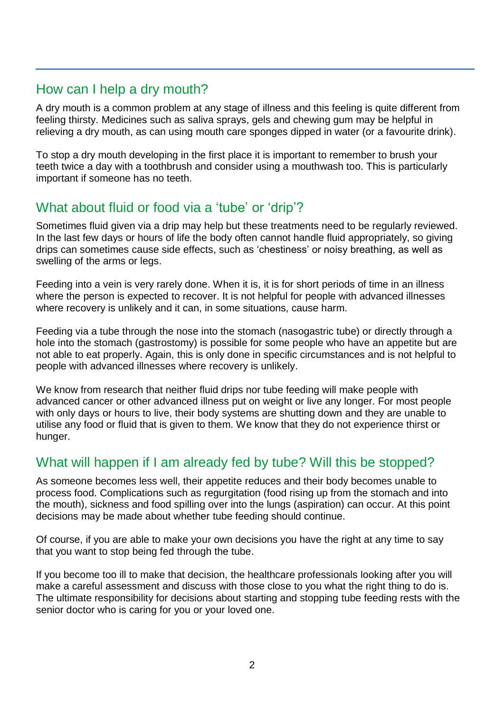# How can I help a dry mouth?

A dry mouth is a common problem at any stage of illness and this feeling is quite different from feeling thirsty. Medicines such as saliva sprays, gels and chewing gum may be helpful in relieving a dry mouth, as can using mouth care sponges dipped in water (or a favourite drink).

To stop a dry mouth developing in the first place it is important to remember to brush your teeth twice a day with a toothbrush and consider using a mouthwash too. This is particularly important if someone has no teeth.

# What about fluid or food via a 'tube' or 'drip'?

Sometimes fluid given via a drip may help but these treatments need to be regularly reviewed. In the last few days or hours of life the body often cannot handle fluid appropriately, so giving drips can sometimes cause side effects, such as 'chestiness' or noisy breathing, as well as swelling of the arms or legs.

Feeding into a vein is very rarely done. When it is, it is for short periods of time in an illness where the person is expected to recover. It is not helpful for people with advanced illnesses where recovery is unlikely and it can, in some situations, cause harm.

Feeding via a tube through the nose into the stomach (nasogastric tube) or directly through a hole into the stomach (gastrostomy) is possible for some people who have an appetite but are not able to eat properly. Again, this is only done in specific circumstances and is not helpful to people with advanced illnesses where recovery is unlikely.

We know from research that neither fluid drips nor tube feeding will make people with advanced cancer or other advanced illness put on weight or live any longer. For most people with only days or hours to live, their body systems are shutting down and they are unable to utilise any food or fluid that is given to them. We know that they do not experience thirst or hunger.

# What will happen if I am already fed by tube? Will this be stopped?

As someone becomes less well, their appetite reduces and their body becomes unable to process food. Complications such as regurgitation (food rising up from the stomach and into the mouth), sickness and food spilling over into the lungs (aspiration) can occur. At this point decisions may be made about whether tube feeding should continue.

Of course, if you are able to make your own decisions you have the right at any time to say that you want to stop being fed through the tube.

If you become too ill to make that decision, the healthcare professionals looking after you will make a careful assessment and discuss with those close to you what the right thing to do is. The ultimate responsibility for decisions about starting and stopping tube feeding rests with the senior doctor who is caring for you or your loved one.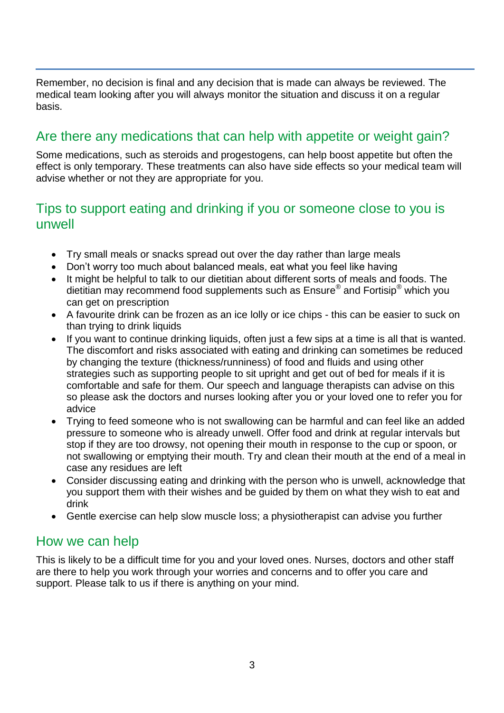Remember, no decision is final and any decision that is made can always be reviewed. The medical team looking after you will always monitor the situation and discuss it on a regular basis.

# Are there any medications that can help with appetite or weight gain?

Some medications, such as steroids and progestogens, can help boost appetite but often the effect is only temporary. These treatments can also have side effects so your medical team will advise whether or not they are appropriate for you.

# Tips to support eating and drinking if you or someone close to you is unwell

- Try small meals or snacks spread out over the day rather than large meals
- Don't worry too much about balanced meals, eat what you feel like having
- It might be helpful to talk to our dietitian about different sorts of meals and foods. The dietitian may recommend food supplements such as Ensure® and Fortisip® which you can get on prescription
- A favourite drink can be frozen as an ice lolly or ice chips this can be easier to suck on than trying to drink liquids
- If you want to continue drinking liquids, often just a few sips at a time is all that is wanted. The discomfort and risks associated with eating and drinking can sometimes be reduced by changing the texture (thickness/runniness) of food and fluids and using other strategies such as supporting people to sit upright and get out of bed for meals if it is comfortable and safe for them. Our speech and language therapists can advise on this so please ask the doctors and nurses looking after you or your loved one to refer you for advice
- Trying to feed someone who is not swallowing can be harmful and can feel like an added pressure to someone who is already unwell. Offer food and drink at regular intervals but stop if they are too drowsy, not opening their mouth in response to the cup or spoon, or not swallowing or emptying their mouth. Try and clean their mouth at the end of a meal in case any residues are left
- Consider discussing eating and drinking with the person who is unwell, acknowledge that you support them with their wishes and be guided by them on what they wish to eat and drink
- Gentle exercise can help slow muscle loss; a physiotherapist can advise you further

## How we can help

This is likely to be a difficult time for you and your loved ones. Nurses, doctors and other staff are there to help you work through your worries and concerns and to offer you care and support. Please talk to us if there is anything on your mind.